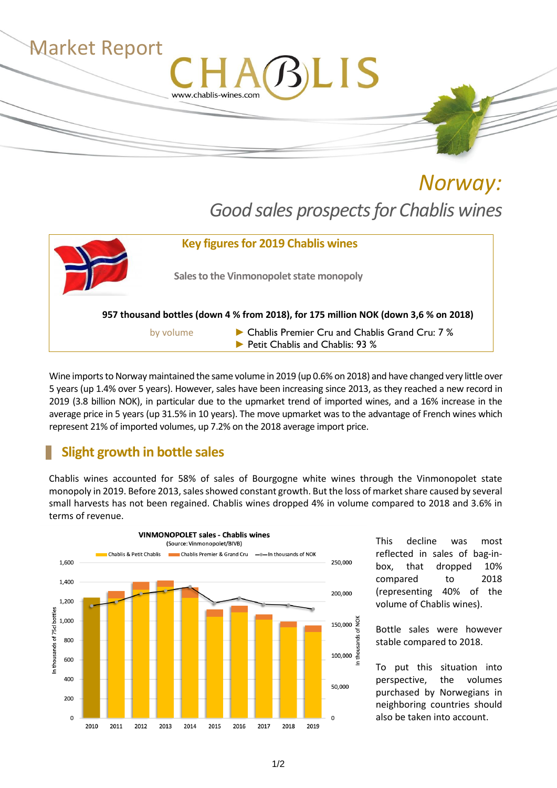

*Norway: Good sales prospectsfor Chablis wines*



Wine imports to Norway maintained the same volume in 2019 (up 0.6% on 2018) and have changed very little over 5 years (up 1.4% over 5 years). However, sales have been increasing since 2013, as they reached a new record in 2019 (3.8 billion NOK), in particular due to the upmarket trend of imported wines, and a 16% increase in the average price in 5 years (up 31.5% in 10 years). The move upmarket was to the advantage of French wines which represent 21% of imported volumes, up 7.2% on the 2018 average import price.

## **Slight growth in bottle sales**

Chablis wines accounted for 58% of sales of Bourgogne white wines through the Vinmonopolet state monopoly in 2019. Before 2013, sales showed constant growth. But the loss of market share caused by several small harvests has not been regained. Chablis wines dropped 4% in volume compared to 2018 and 3.6% in terms of revenue.



This decline was most reflected in sales of bag-inbox, that dropped 10% compared to 2018 (representing 40% of the volume of Chablis wines).

Bottle sales were however stable compared to 2018.

To put this situation into perspective, the volumes purchased by Norwegians in neighboring countries should also be taken into account.